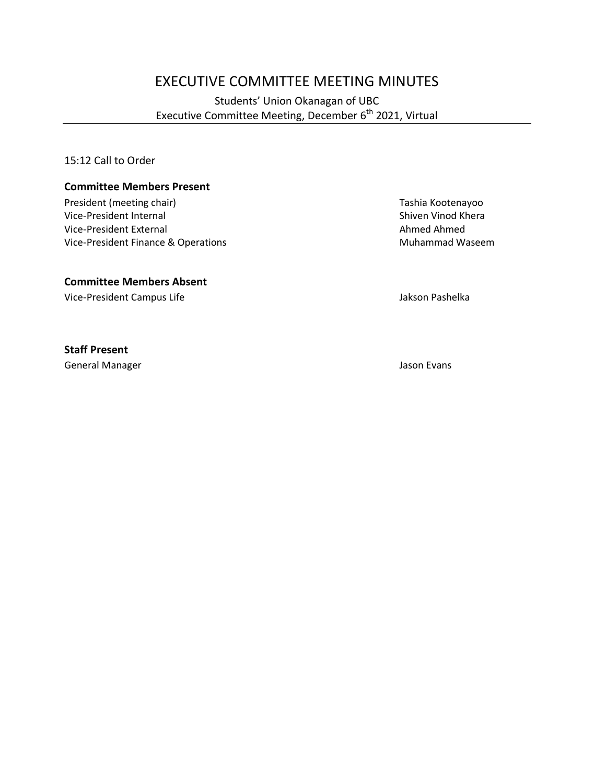# EXECUTIVE COMMITTEE MEETING MINUTES

# Students' Union Okanagan of UBC Executive Committee Meeting, December 6<sup>th</sup> 2021, Virtual

15:12 Call to Order

#### **Committee Members Present**

President (meeting chair) Tashia Kootenayoo Vice-President Internal and Shiven Vinod Khera<br>
Vice-President External and Shiven Vinod Khera<br>
Shiven Vinod Khera Vice-President External Vice-President Finance & Operations Muhammad Waseem

#### **Committee Members Absent**

Vice-President Campus Life **Jakson Pashelka** 

#### **Staff Present**

General Manager Jason Evans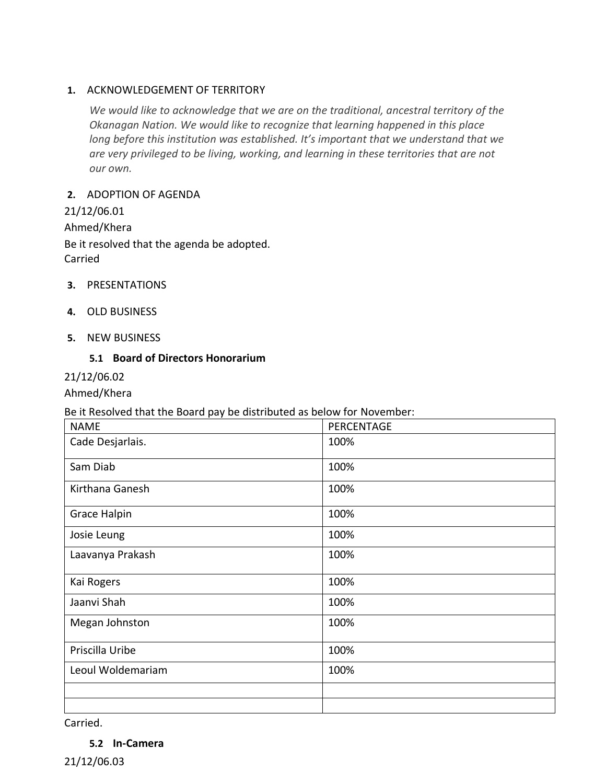## **1.** ACKNOWLEDGEMENT OF TERRITORY

*We would like to acknowledge that we are on the traditional, ancestral territory of the Okanagan Nation. We would like to recognize that learning happened in this place long before this institution was established. It's important that we understand that we are very privileged to be living, working, and learning in these territories that are not our own.*

## **2.** ADOPTION OF AGENDA

21/12/06.01 Ahmed/Khera Be it resolved that the agenda be adopted. Carried

- **3.** PRESENTATIONS
- **4.** OLD BUSINESS
- **5.** NEW BUSINESS

## **5.1 Board of Directors Honorarium**

# 21/12/06.02

Ahmed/Khera

#### Be it Resolved that the Board pay be distributed as below for November:

| <b>NAME</b>         | PERCENTAGE |
|---------------------|------------|
| Cade Desjarlais.    | 100%       |
| Sam Diab            | 100%       |
| Kirthana Ganesh     | 100%       |
| <b>Grace Halpin</b> | 100%       |
| Josie Leung         | 100%       |
| Laavanya Prakash    | 100%       |
| Kai Rogers          | 100%       |
| Jaanvi Shah         | 100%       |
| Megan Johnston      | 100%       |
| Priscilla Uribe     | 100%       |
| Leoul Woldemariam   | 100%       |
|                     |            |
|                     |            |

Carried.

**5.2 In-Camera**